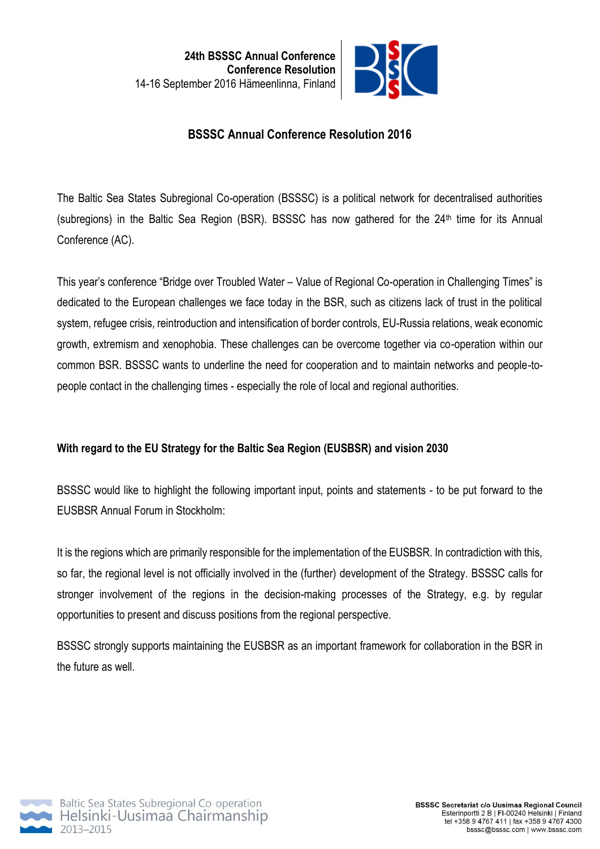

# **BSSSC Annual Conference Resolution 2016**

The Baltic Sea States Subregional Co-operation (BSSSC) is a political network for decentralised authorities (subregions) in the Baltic Sea Region (BSR). BSSSC has now gathered for the  $24<sup>th</sup>$  time for its Annual Conference (AC).

This year's conference "Bridge over Troubled Water – Value of Regional Co-operation in Challenging Times" is dedicated to the European challenges we face today in the BSR, such as citizens lack of trust in the political system, refugee crisis, reintroduction and intensification of border controls, EU-Russia relations, weak economic growth, extremism and xenophobia. These challenges can be overcome together via co-operation within our common BSR. BSSSC wants to underline the need for cooperation and to maintain networks and people-topeople contact in the challenging times - especially the role of local and regional authorities.

## **With regard to the EU Strategy for the Baltic Sea Region (EUSBSR) and vision 2030**

BSSSC would like to highlight the following important input, points and statements - to be put forward to the EUSBSR Annual Forum in Stockholm:

It is the regions which are primarily responsible for the implementation of the EUSBSR. In contradiction with this, so far, the regional level is not officially involved in the (further) development of the Strategy. BSSSC calls for stronger involvement of the regions in the decision-making processes of the Strategy, e.g. by regular opportunities to present and discuss positions from the regional perspective.

BSSSC strongly supports maintaining the EUSBSR as an important framework for collaboration in the BSR in the future as well.

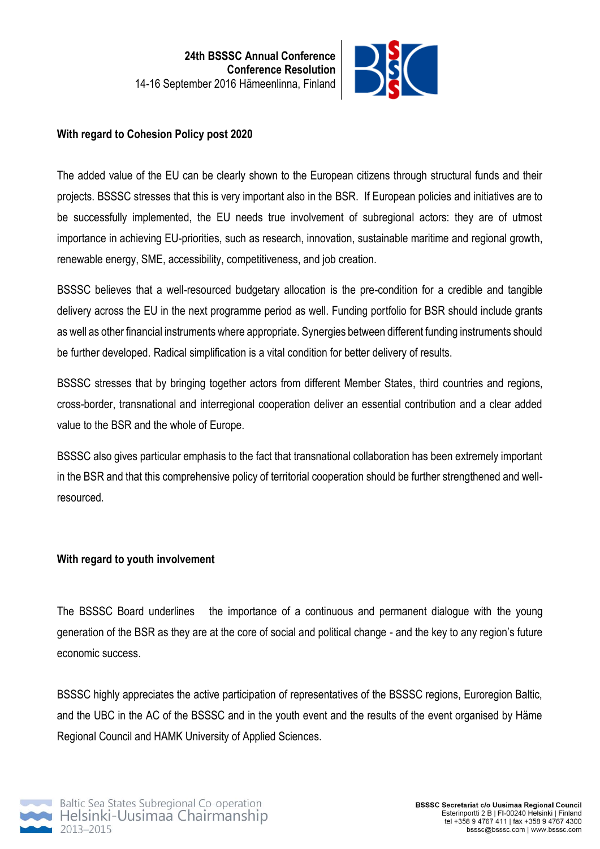

#### **With regard to Cohesion Policy post 2020**

The added value of the EU can be clearly shown to the European citizens through structural funds and their projects. BSSSC stresses that this is very important also in the BSR. If European policies and initiatives are to be successfully implemented, the EU needs true involvement of subregional actors: they are of utmost importance in achieving EU-priorities, such as research, innovation, sustainable maritime and regional growth, renewable energy, SME, accessibility, competitiveness, and job creation.

BSSSC believes that a well-resourced budgetary allocation is the pre-condition for a credible and tangible delivery across the EU in the next programme period as well. Funding portfolio for BSR should include grants as well as other financial instruments where appropriate. Synergies between different funding instruments should be further developed. Radical simplification is a vital condition for better delivery of results.

BSSSC stresses that by bringing together actors from different Member States, third countries and regions, cross-border, transnational and interregional cooperation deliver an essential contribution and a clear added value to the BSR and the whole of Europe.

BSSSC also gives particular emphasis to the fact that transnational collaboration has been extremely important in the BSR and that this comprehensive policy of territorial cooperation should be further strengthened and wellresourced.

### **With regard to youth involvement**

The BSSSC Board underlines the importance of a continuous and permanent dialogue with the young generation of the BSR as they are at the core of social and political change - and the key to any region's future economic success.

BSSSC highly appreciates the active participation of representatives of the BSSSC regions, Euroregion Baltic, and the UBC in the AC of the BSSSC and in the youth event and the results of the event organised by Häme Regional Council and HAMK University of Applied Sciences.

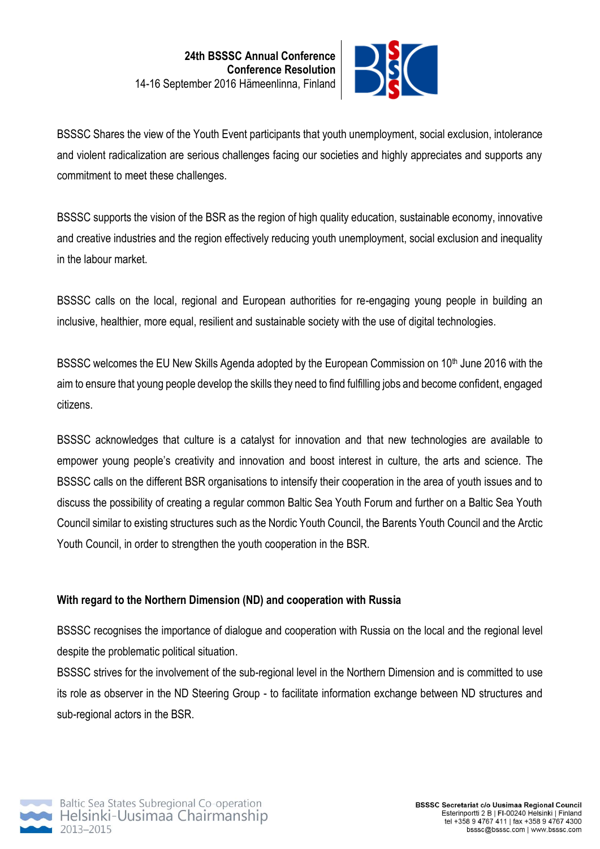

BSSSC Shares the view of the Youth Event participants that youth unemployment, social exclusion, intolerance and violent radicalization are serious challenges facing our societies and highly appreciates and supports any commitment to meet these challenges.

BSSSC supports the vision of the BSR as the region of high quality education, sustainable economy, innovative and creative industries and the region effectively reducing youth unemployment, social exclusion and inequality in the labour market.

BSSSC calls on the local, regional and European authorities for re-engaging young people in building an inclusive, healthier, more equal, resilient and sustainable society with the use of digital technologies.

BSSSC welcomes the EU New Skills Agenda adopted by the European Commission on 10<sup>th</sup> June 2016 with the aim to ensure that young people develop the skills they need to find fulfilling jobs and become confident, engaged citizens.

BSSSC acknowledges that culture is a catalyst for innovation and that new technologies are available to empower young people's creativity and innovation and boost interest in culture, the arts and science. The BSSSC calls on the different BSR organisations to intensify their cooperation in the area of youth issues and to discuss the possibility of creating a regular common Baltic Sea Youth Forum and further on a Baltic Sea Youth Council similar to existing structures such as the Nordic Youth Council, the Barents Youth Council and the Arctic Youth Council, in order to strengthen the youth cooperation in the BSR.

### **With regard to the Northern Dimension (ND) and cooperation with Russia**

BSSSC recognises the importance of dialogue and cooperation with Russia on the local and the regional level despite the problematic political situation.

BSSSC strives for the involvement of the sub-regional level in the Northern Dimension and is committed to use its role as observer in the ND Steering Group - to facilitate information exchange between ND structures and sub-regional actors in the BSR.

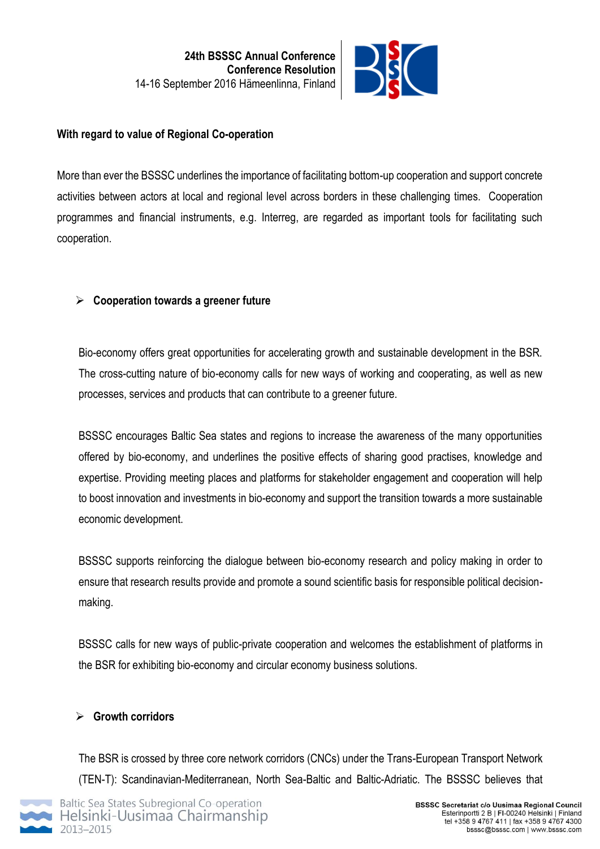

### **With regard to value of Regional Co-operation**

More than ever the BSSSC underlines the importance of facilitating bottom-up cooperation and support concrete activities between actors at local and regional level across borders in these challenging times. Cooperation programmes and financial instruments, e.g. Interreg, are regarded as important tools for facilitating such cooperation.

## **Cooperation towards a greener future**

Bio-economy offers great opportunities for accelerating growth and sustainable development in the BSR. The cross-cutting nature of bio-economy calls for new ways of working and cooperating, as well as new processes, services and products that can contribute to a greener future.

BSSSC encourages Baltic Sea states and regions to increase the awareness of the many opportunities offered by bio-economy, and underlines the positive effects of sharing good practises, knowledge and expertise. Providing meeting places and platforms for stakeholder engagement and cooperation will help to boost innovation and investments in bio-economy and support the transition towards a more sustainable economic development.

BSSSC supports reinforcing the dialogue between bio-economy research and policy making in order to ensure that research results provide and promote a sound scientific basis for responsible political decisionmaking.

BSSSC calls for new ways of public-private cooperation and welcomes the establishment of platforms in the BSR for exhibiting bio-economy and circular economy business solutions.

## **Growth corridors**

The BSR is crossed by three core network corridors (CNCs) under the Trans-European Transport Network (TEN-T): Scandinavian-Mediterranean, North Sea-Baltic and Baltic-Adriatic. The BSSSC believes that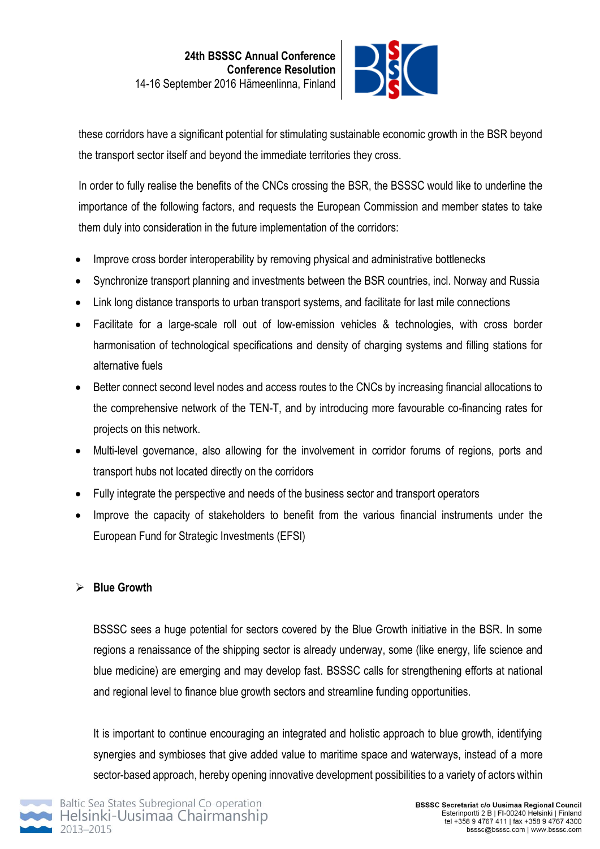

these corridors have a significant potential for stimulating sustainable economic growth in the BSR beyond the transport sector itself and beyond the immediate territories they cross.

In order to fully realise the benefits of the CNCs crossing the BSR, the BSSSC would like to underline the importance of the following factors, and requests the European Commission and member states to take them duly into consideration in the future implementation of the corridors:

- Improve cross border interoperability by removing physical and administrative bottlenecks
- Synchronize transport planning and investments between the BSR countries, incl. Norway and Russia
- Link long distance transports to urban transport systems, and facilitate for last mile connections
- Facilitate for a large-scale roll out of low-emission vehicles & technologies, with cross border harmonisation of technological specifications and density of charging systems and filling stations for alternative fuels
- Better connect second level nodes and access routes to the CNCs by increasing financial allocations to the comprehensive network of the TEN-T, and by introducing more favourable co-financing rates for projects on this network.
- Multi-level governance, also allowing for the involvement in corridor forums of regions, ports and transport hubs not located directly on the corridors
- Fully integrate the perspective and needs of the business sector and transport operators
- Improve the capacity of stakeholders to benefit from the various financial instruments under the European Fund for Strategic Investments (EFSI)

### **Blue Growth**

BSSSC sees a huge potential for sectors covered by the Blue Growth initiative in the BSR. In some regions a renaissance of the shipping sector is already underway, some (like energy, life science and blue medicine) are emerging and may develop fast. BSSSC calls for strengthening efforts at national and regional level to finance blue growth sectors and streamline funding opportunities.

It is important to continue encouraging an integrated and holistic approach to blue growth, identifying synergies and symbioses that give added value to maritime space and waterways, instead of a more sector-based approach, hereby opening innovative development possibilities to a variety of actors within